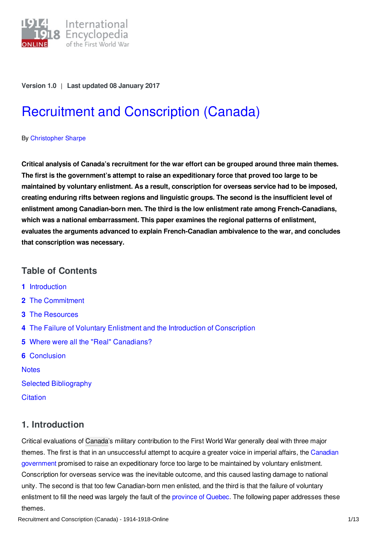

### **Version 1.0** | **Last updated 08 January 2017**

# Recruitment and [Conscription](http://encyclopedia.1914-1918-online.net/article/recruitment_and_conscription_canada) (Canada)

### By [Christopher](http://encyclopedia.1914-1918-online.net/contributors/Christopher_Sharpe) Sharpe

**Critical analysis of Canada's recruitment for the war effort can be grouped around three main themes. The first is the government's attempt to raise an expeditionary force that proved too large to be maintained by voluntary enlistment. As a result, conscription for overseas service had to be imposed, creating enduring rifts between regions and linguistic groups. The second is the insufficient level of enlistment among Canadian-born men. The third is the low enlistment rate among French-Canadians, which was a national embarrassment. This paper examines the regional patterns of enlistment, evaluates the arguments advanced to explain French-Canadian ambivalence to the war, and concludes that conscription was necessary.**

### **Table of Contents**

- **1** [Introduction](#page-0-0)
- **2** The [Commitment](#page-1-0)
- **3** The [Resources](#page-1-1)
- **4** The Failure of Voluntary Enlistment and the Introduction of [Conscription](#page-4-0)
- **5** Where were all the "Real" [Canadians?](#page-7-0)
- **6** [Conclusion](#page-9-0)

**[Notes](#page-9-1)** 

Selected [Bibliography](#page-11-0)

**[Citation](#page-12-0)** 

### <span id="page-0-0"></span>**1. Introduction**

Critical evaluations of [Canada](/article/canada)'s military contribution to the First World War generally deal with three major themes. The first is that in an [unsuccessful](/article/governments_parliaments_and_parties_canada) attempt to acquire a greater voice in imperial affairs, the Canadian government promised to raise an expeditionary force too large to be maintained by voluntary enlistment. Conscription for overseas service was the inevitable outcome, and this caused lasting damage to national unity. The second is that too few Canadian-born men enlisted, and the third is that the failure of voluntary enlistment to fill the need was largely the fault of the [province](/article/french_canada_and_the_war_canada) of Quebec. The following paper addresses these themes.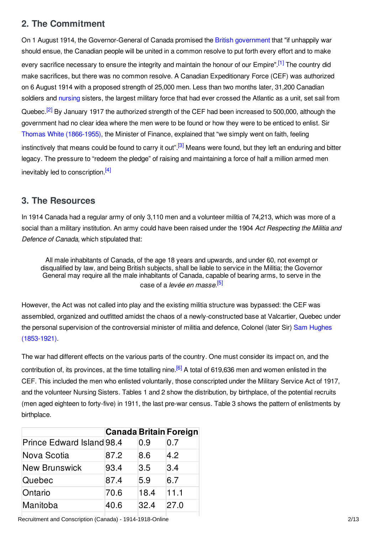# <span id="page-1-0"></span>**2. The Commitment**

<span id="page-1-3"></span><span id="page-1-2"></span>On 1 August 1914, the Governor-General of Canada promised the British [government](/article/governments_parliaments_and_parties_great_britain_and_ireland) that "if unhappily war should ensue, the Canadian people will be united in a common resolve to put forth every effort and to make every sacrifice necessary to ensure the integrity and maintain the honour of our Empire".<sup>[\[1\]](#page-9-2)</sup> The country did make sacrifices, but there was no common resolve. A Canadian Expeditionary Force (CEF) was authorized on 6 August 1914 with a proposed strength of 25,000 men. Less than two months later, 31,200 Canadian soldiers and [nursing](/index/names/4079163-4) sisters, the largest military force that had ever crossed the Atlantic as a unit, set sail from Quebec.<sup>[\[2\]](#page-9-3)</sup> By January 1917 the authorized strength of the CEF had been increased to 500,000, although the government had no clear idea where the men were to be found or how they were to be enticed to enlist. Sir Thomas White [\(1866-1955\)](/index/names/1072381346), the Minister of Finance, explained that "we simply went on faith, feeling instinctively that means could be found to carry it out".<sup>[\[3\]](#page-9-4)</sup> Means were found, but they left an enduring and bitter legacy. The pressure to "redeem the pledge" of raising and maintaining a force of half a million armed men inevitably led to conscription.<sup>[\[4\]](#page-9-5)</sup>

### <span id="page-1-5"></span><span id="page-1-4"></span><span id="page-1-1"></span>**3. The Resources**

In 1914 Canada had a regular army of only 3,110 men and a volunteer militia of 74,213, which was more of a social than a military institution. An army could have been raised under the 1904 *Act Respecting the Militia and Defence of Canada*, which stipulated that:

<span id="page-1-6"></span>All male inhabitants of Canada, of the age 18 years and upwards, and under 60, not exempt or disqualified by law, and being British subjects, shall be liable to service in the Militia; the Governor General may require all the male inhabitants of Canada, capable of bearing arms, to serve in the case of a *levée en masse*. [\[5\]](#page-9-6)

However, the Act was not called into play and the existing militia structure was bypassed: the CEF was assembled, organized and outfitted amidst the chaos of a newly-constructed base at Valcartier, Quebec under the personal supervision of the [controversial](/index/names/128863307) minister of militia and defence, Colonel (later Sir) Sam Hughes (1853-1921).

<span id="page-1-7"></span>The war had different effects on the various parts of the country. One must consider its impact on, and the contribution of, its provinces, at the time totalling nine.<sup>[\[6\]](#page-9-7)</sup> A total of 619,636 men and women enlisted in the CEF. This included the men who enlisted voluntarily, those conscripted under the Military Service Act of 1917, and the volunteer Nursing Sisters. Tables 1 and 2 show the distribution, by birthplace, of the potential recruits (men aged eighteen to forty-five) in 1911, the last pre-war census. Table 3 shows the pattern of enlistments by birthplace.

|                           |      |      | <b>Canada Britain Foreign</b> |
|---------------------------|------|------|-------------------------------|
| Prince Edward Island 98.4 |      | 0.9  | 0.7                           |
| Nova Scotia               | 87.2 | 8.6  | 4.2                           |
| <b>New Brunswick</b>      | 93.4 | 3.5  | 3.4                           |
| Quebec                    | 87.4 | 5.9  | 6.7                           |
| Ontario                   | 70.6 | 18.4 | 11.1                          |
| Manitoba                  | 40.6 | 32.4 | 27.0                          |

Recruitment and Conscription (Canada) - 1914-1918-Online 2008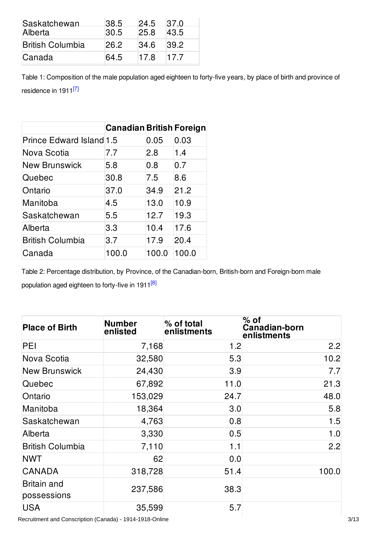| Saskatchewan<br>Alberta | 38.5<br>30.5 | 24.5<br>25.8 | 37.0<br>43.5 |
|-------------------------|--------------|--------------|--------------|
| <b>British Columbia</b> | 26.2         | 34.6         | 39.2         |
| Canada                  | 64.5         | 17.8         | 17.7         |

<span id="page-2-0"></span>Table 1: Composition of the male population aged eighteen to forty-five years, by place of birth and province of residence in 1911<sup>[\[7\]](#page-9-8)</sup>

|                                 | <b>Canadian British Foreign</b> |       |       |
|---------------------------------|---------------------------------|-------|-------|
| <b>Prince Edward Island 1.5</b> |                                 | 0.05  | 0.03  |
| Nova Scotia                     | 7.7                             | 2.8   | 1.4   |
| <b>New Brunswick</b>            | 5.8                             | 0.8   | 0.7   |
| Quebec                          | 30.8                            | 7.5   | 8.6   |
| Ontario                         | 37.0                            | 34.9  | 21.2  |
| Manitoba                        | 4.5                             | 13.0  | 10.9  |
| Saskatchewan                    | 5.5                             | 12.7  | 19.3  |
| Alberta                         | 3.3                             | 10.4  | 17.6  |
| <b>British Columbia</b>         | 3.7                             | 17.9  | 20.4  |
| Canada                          | 100.0                           | 100.0 | 100.0 |

<span id="page-2-1"></span>Table 2: Percentage distribution, by Province, of the Canadian-born, British-born and Foreign-born male population aged eighteen to forty-five in 1911<sup>[\[8\]](#page-9-9)</sup>

| <b>Place of Birth</b>             | <b>Number</b><br>enlisted | % of total<br>enlistments | $%$ of<br>Canadian-born<br>enlistments |
|-----------------------------------|---------------------------|---------------------------|----------------------------------------|
| PEI                               | 7,168                     | 1.2                       | 2.2                                    |
| Nova Scotia                       | 32,580                    | 5.3                       | 10.2                                   |
| <b>New Brunswick</b>              | 24,430                    | 3.9                       | 7.7                                    |
| Quebec                            | 67,892                    | 11.0                      | 21.3                                   |
| Ontario                           | 153,029                   | 24.7                      | 48.0                                   |
| Manitoba                          | 18,364                    | 3.0                       | 5.8                                    |
| Saskatchewan                      | 4,763                     | 0.8                       | 1.5                                    |
| Alberta                           | 3,330                     | 0.5                       | 1.0                                    |
| <b>British Columbia</b>           | 7,110                     | 1.1                       | 2.2                                    |
| <b>NWT</b>                        | 62                        | 0.0                       |                                        |
| CANADA                            | 318,728                   | 51.4                      | 100.0                                  |
| <b>Britain and</b><br>possessions | 237,586                   | 38.3                      |                                        |
| <b>USA</b>                        | 35,599                    | 5.7                       |                                        |

Recruitment and Conscription (Canada) - 1914-1918-Online 3/13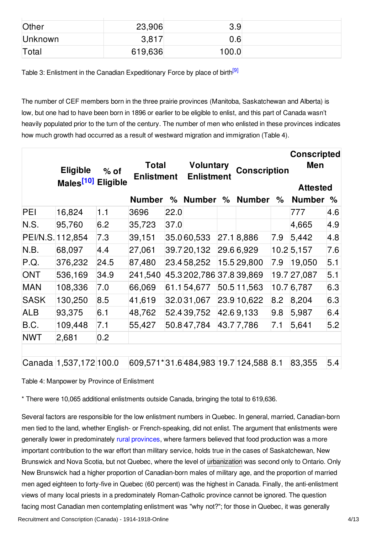| Other   | 23,906  | 3.9   |  |
|---------|---------|-------|--|
| Unknown | 3,817   | 0.6   |  |
| Total   | 619,636 | 100.0 |  |

<span id="page-3-0"></span>Table 3: Enlistment in the Canadian Expeditionary Force by place of birth<sup>[\[9\]](#page-9-10)</sup>

The number of CEF members born in the three prairie provinces (Manitoba, Saskatchewan and Alberta) is low, but one had to have been born in 1896 or earlier to be eligible to enlist, and this part of Canada wasn't heavily populated prior to the turn of the century. The number of men who enlisted in these provinces indicates how much growth had occurred as a result of westward migration and immigration (Table 4).

<span id="page-3-1"></span>

|             | <b>Eligible</b><br>Males <sup>[10]</sup> Eligible | $%$ of | <b>Total</b><br><b>Enlistment</b>    |      | <b>Voluntary</b><br><b>Enlistment</b> |   | <b>Conscription</b> |     | <b>Conscripted</b><br>Men<br><b>Attested</b> |     |
|-------------|---------------------------------------------------|--------|--------------------------------------|------|---------------------------------------|---|---------------------|-----|----------------------------------------------|-----|
|             |                                                   |        | <b>Number</b>                        | %    | <b>Number</b>                         | % | <b>Number</b>       | %   | <b>Number</b>                                | %   |
| PEI         | 16,824                                            | 1.1    | 3696                                 | 22.0 |                                       |   |                     |     | 777                                          | 4.6 |
| N.S.        | 95,760                                            | 6.2    | 35,723                               | 37.0 |                                       |   |                     |     | 4,665                                        | 4.9 |
|             | PEI/N.S. 112,854                                  | 7.3    | 39,151                               |      | 35.060,533                            |   | 27.18,886           | 7.9 | 5,442                                        | 4.8 |
| N.B.        | 68,097                                            | 4.4    | 27,061                               |      | 39.7 20,132                           |   | 29.6 6,929          |     | $10.2$ 5,157                                 | 7.6 |
| P.Q.        | 376,232                                           | 24.5   | 87,480                               |      | 23.458,252                            |   | 15.5 29,800         | 7.9 | 19,050                                       | 5.1 |
| <b>ONT</b>  | 536,169                                           | 34.9   | 241,540                              |      | 45.3 202,786 37.8 39,869              |   |                     |     | 19.7 27,087                                  | 5.1 |
| <b>MAN</b>  | 108,336                                           | 7.0    | 66,069                               |      | 61.154,677                            |   | 50.5 11,563         |     | 10.7 6,787                                   | 6.3 |
| <b>SASK</b> | 130,250                                           | 8.5    | 41,619                               |      | 32.0 31,067                           |   | 23.9 10,622         | 8.2 | 8,204                                        | 6.3 |
| <b>ALB</b>  | 93,375                                            | 6.1    | 48,762                               |      | 52.4 39,752                           |   | 42.69,133           | 9.8 | 5,987                                        | 6.4 |
| B.C.        | 109,448                                           | 7.1    | 55,427                               |      | 50.847,784                            |   | 43.777,786          | 7.1 | 5,641                                        | 5.2 |
| <b>NWT</b>  | 2,681                                             | 0.2    |                                      |      |                                       |   |                     |     |                                              |     |
|             |                                                   |        |                                      |      |                                       |   |                     |     |                                              |     |
|             | Canada 1,537,172 100.0                            |        | 609,571*31.6484,983 19.7 124,588 8.1 |      |                                       |   |                     |     | 83,355                                       | 5.4 |

Table 4: Manpower by Province of Enlistment

\* There were 10,065 additional enlistments outside Canada, bringing the total to 619,636.

Several factors are responsible for the low enlistment numbers in Quebec. In general, married, Canadian-born men tied to the land, whether English- or French-speaking, did not enlist. The argument that enlistments were generally lower in predominately rural [provinces](/article/rural_society), where farmers believed that food production was a more important contribution to the war effort than military service, holds true in the cases of Saskatchewan, New Brunswick and Nova Scotia, but not Quebec, where the level of [urbanization](/article/urban_society) was second only to Ontario. Only New Brunswick had a higher proportion of Canadian-born males of military age, and the proportion of married men aged eighteen to forty-five in Quebec (60 percent) was the highest in Canada. Finally, the anti-enlistment views of many local priests in a predominately Roman-Catholic province cannot be ignored. The question facing most Canadian men contemplating enlistment was "why not?"; for those in Quebec, it was generally Recruitment and Conscription (Canada) - 1914-1918-Online 4/13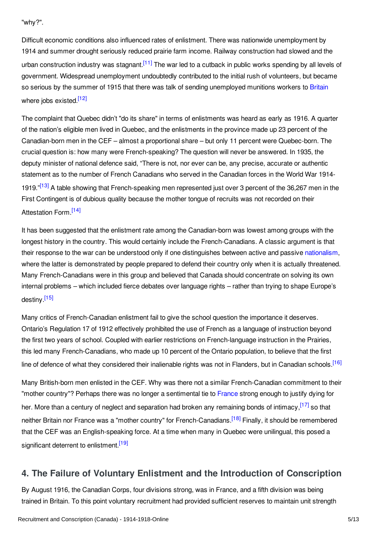"why?".

<span id="page-4-1"></span>Difficult economic conditions also influenced rates of enlistment. There was nationwide unemployment by 1914 and summer drought seriously reduced prairie farm income. Railway construction had slowed and the urban construction industry was stagnant.<sup>[\[11\]](#page-9-12)</sup> The war led to a cutback in public works spending by all levels of government. Widespread unemployment undoubtedly contributed to the initial rush of volunteers, but became so serious by the summer of 1915 that there was talk of sending unemployed munitions workers to [Britain](/article/great_britain) where jobs existed.<sup>[\[12\]](#page-9-13)</sup>

<span id="page-4-2"></span>The complaint that Quebec didn't "do its share" in terms of enlistments was heard as early as 1916. A quarter of the nation's eligible men lived in Quebec, and the enlistments in the province made up 23 percent of the Canadian-born men in the CEF – almost a proportional share – but only 11 percent were Quebec-born. The crucial question is: how many were French-speaking? The question will never be answered. In 1935, the deputy minister of national defence said, "There is not, nor ever can be, any precise, accurate or authentic statement as to the number of French Canadians who served in the Canadian forces in the World War 1914- 1919."<sup>[\[13\]](#page-9-14)</sup> A table showing that French-speaking men represented just over 3 percent of the 36,267 men in the First Contingent is of dubious quality because the mother tongue of recruits was not recorded on their Attestation Form.<sup>[\[14\]](#page-10-0)</sup>

<span id="page-4-4"></span><span id="page-4-3"></span>It has been suggested that the enlistment rate among the Canadian-born was lowest among groups with the longest history in the country. This would certainly include the French-Canadians. A classic argument is that their response to the war can be understood only if one distinguishes between active and passive [nationalism](/article/nationalism), where the latter is demonstrated by people prepared to defend their country only when it is actually threatened. Many French-Canadians were in this group and believed that Canada should concentrate on solving its own internal problems – which included fierce debates over language rights – rather than trying to shape Europe's destiny <sup>[\[15\]](#page-10-1)</sup>

<span id="page-4-5"></span>Many critics of French-Canadian enlistment fail to give the school question the importance it deserves. Ontario's Regulation 17 of 1912 effectively prohibited the use of French as a language of instruction beyond the first two years of school. Coupled with earlier restrictions on French-language instruction in the Prairies, this led many French-Canadians, who made up 10 percent of the Ontario population, to believe that the first line of defence of what they considered their inalienable rights was not in Flanders, but in Canadian schools.<sup>[\[16\]](#page-10-2)</sup>

<span id="page-4-8"></span><span id="page-4-7"></span><span id="page-4-6"></span>Many British-born men enlisted in the CEF. Why was there not a similar French-Canadian commitment to their "mother country"? Perhaps there was no longer a sentimental tie to [France](/article/france) strong enough to justify dying for her. More than a century of neglect and separation had broken any remaining bonds of intimacy,<sup>[\[17\]](#page-10-3)</sup> so that neither Britain nor France was a "mother country" for French-Canadians.<sup>[\[18\]](#page-10-4)</sup> Finally, it should be remembered that the CEF was an English-speaking force. At a time when many in Quebec were unilingual, this posed a significant deterrent to enlistment.<sup>[\[19\]](#page-10-5)</sup>

# <span id="page-4-9"></span><span id="page-4-0"></span>**4. The Failure of Voluntary Enlistment and the Introduction of Conscription**

By August 1916, the Canadian Corps, four divisions strong, was in France, and a fifth division was being trained in Britain. To this point voluntary recruitment had provided sufficient reserves to maintain unit strength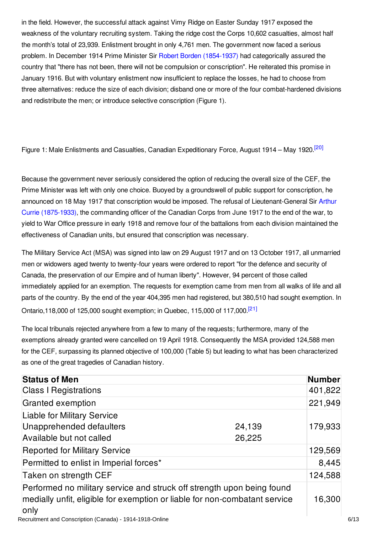in the field. However, the successful attack against Vimy Ridge on Easter Sunday 1917 exposed the weakness of the voluntary recruiting system. Taking the ridge cost the Corps 10,602 casualties, almost half the month's total of 23,939. Enlistment brought in only 4,761 men. The government now faced a serious problem. In December 1914 Prime Minister Sir Robert Borden [\(1854-1937\)](/index/names/118993844) had categorically assured the country that "there has not been, there will not be compulsion or conscription". He reiterated this promise in January 1916. But with voluntary enlistment now insufficient to replace the losses, he had to choose from three alternatives: reduce the size of each division; disband one or more of the four combat-hardened divisions and redistribute the men; or introduce selective conscription (Figure 1).

<span id="page-5-0"></span>Figure 1: Male Enlistments and Casualties, Canadian Expeditionary Force, August 1914 – May 1920.<sup>[\[20\]](#page-10-6)</sup>

Because the government never seriously considered the option of reducing the overall size of the CEF, the Prime Minister was left with only one choice. Buoyed by a groundswell of public support for conscription, he announced on 18 May 1917 that conscription would be imposed. The refusal of [Lieutenant-General](/index/names/11886937X) Sir Arthur Currie (1875-1933), the commanding officer of the Canadian Corps from June 1917 to the end of the war, to yield to War Office pressure in early 1918 and remove four of the battalions from each division maintained the effectiveness of Canadian units, but ensured that conscription was necessary.

The Military Service Act (MSA) was signed into law on 29 August 1917 and on 13 October 1917, all unmarried men or widowers aged twenty to twenty-four years were ordered to report "for the defence and security of Canada, the preservation of our Empire and of human liberty". However, 94 percent of those called immediately applied for an exemption. The requests for exemption came from men from all walks of life and all parts of the country. By the end of the year 404,395 men had registered, but 380,510 had sought exemption. In Ontario,118,000 of 125,000 sought exemption; in Quebec, 115,000 of 117,000.<sup>[\[21\]](#page-10-7)</sup>

<span id="page-5-1"></span>The local tribunals rejected anywhere from a few to many of the requests; furthermore, many of the exemptions already granted were cancelled on 19 April 1918. Consequently the MSA provided 124,588 men for the CEF, surpassing its planned objective of 100,000 (Table 5) but leading to what has been characterized as one of the great tragedies of Canadian history.

| <b>Status of Men</b>                                                                                                                                         |                  | <b>Number</b> |
|--------------------------------------------------------------------------------------------------------------------------------------------------------------|------------------|---------------|
| <b>Class I Registrations</b>                                                                                                                                 |                  | 401,822       |
| Granted exemption                                                                                                                                            |                  | 221,949       |
| <b>Liable for Military Service</b><br>Unapprehended defaulters<br>Available but not called                                                                   | 24,139<br>26,225 | 179,933       |
| <b>Reported for Military Service</b>                                                                                                                         |                  | 129,569       |
| Permitted to enlist in Imperial forces*                                                                                                                      |                  | 8,445         |
| Taken on strength CEF                                                                                                                                        |                  | 124,588       |
| Performed no military service and struck off strength upon being found<br>medially unfit, eligible for exemption or liable for non-combatant service<br>only |                  | 16,300        |

Recruitment and Conscription (Canada) - 1914-1918-Online 6/13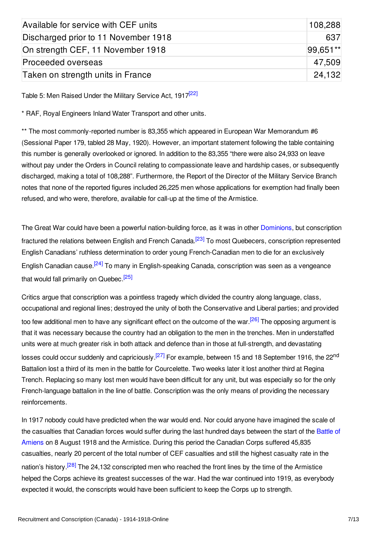| Available for service with CEF units | 108,288  |
|--------------------------------------|----------|
| Discharged prior to 11 November 1918 | 637      |
| On strength CEF, 11 November 1918    | 99.651** |
| Proceeded overseas                   | 47.509   |
| Taken on strength units in France    | 24.132   |

<span id="page-6-0"></span>Table 5: Men Raised Under the Military Service Act, 1917<sup>[\[22\]](#page-10-8)</sup>

\* RAF, Royal Engineers Inland Water Transport and other units.

\*\* The most commonly-reported number is 83,355 which appeared in European War Memorandum #6 (Sessional Paper 179, tabled 28 May, 1920). However, an important statement following the table containing this number is generally overlooked or ignored. In addition to the 83,355 "there were also 24,933 on leave without pay under the Orders in Council relating to compassionate leave and hardship cases, or subsequently discharged, making a total of 108,288". Furthermore, the Report of the Director of the Military Service Branch notes that none of the reported figures included 26,225 men whose applications for exemption had finally been refused, and who were, therefore, available for call-up at the time of the Armistice.

<span id="page-6-1"></span>The Great War could have been a powerful nation-building force, as it was in other [Dominions](/article/dominions_military_relationship_to_great_britain_1902-1914_british_dominions), but conscription fractured the relations between English and French Canada.<sup>[\[23\]](#page-10-9)</sup> To most Quebecers, conscription represented English Canadians' ruthless determination to order young French-Canadian men to die for an exclusively English Canadian cause.<sup>[\[24\]](#page-10-10)</sup> To many in English-speaking Canada, conscription was seen as a vengeance that would fall primarily on Quebec.<sup>[\[25\]](#page-10-11)</sup>

<span id="page-6-5"></span><span id="page-6-4"></span><span id="page-6-3"></span><span id="page-6-2"></span>Critics argue that conscription was a pointless tragedy which divided the country along language, class, occupational and regional lines; destroyed the unity of both the Conservative and Liberal parties; and provided too few additional men to have any significant effect on the outcome of the war.<sup>[\[26\]](#page-10-12)</sup> The opposing argument is that it was necessary because the country had an obligation to the men in the trenches. Men in understaffed units were at much greater risk in both attack and defence than in those at full-strength, and devastating losses could occur suddenly and capriciously.<sup>[\[27\]](#page-10-13)</sup> For example, between 15 and 18 September 1916, the 22<sup>nd</sup> Battalion lost a third of its men in the battle for Courcelette. Two weeks later it lost another third at Regina Trench. Replacing so many lost men would have been difficult for any unit, but was especially so for the only French-language battalion in the line of battle. Conscription was the only means of providing the necessary reinforcements.

<span id="page-6-6"></span>In 1917 nobody could have predicted when the war would end. Nor could anyone have imagined the scale of the casualties that Canadian forces would suffer during the last hundred days between the start of the Battle of Amiens on 8 August 1918 and the [Armistice.](/article/amiens_battle_of) During this period the Canadian Corps suffered 45,835 casualties, nearly 20 percent of the total number of CEF casualties and still the highest casualty rate in the nation's history.<sup>[\[28\]](#page-10-14)</sup> The 24,132 conscripted men who reached the front lines by the time of the Armistice helped the Corps achieve its greatest successes of the war. Had the war continued into 1919, as everybody expected it would, the conscripts would have been sufficient to keep the Corps up to strength.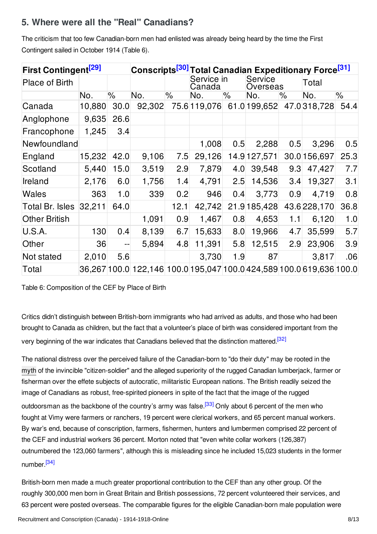# <span id="page-7-0"></span>**5. Where were all the "Real" Canadians?**

The criticism that too few Canadian-born men had enlisted was already being heard by the time the First Contingent sailed in October 1914 (Table 6).

<span id="page-7-3"></span><span id="page-7-2"></span><span id="page-7-1"></span>

| First Contingent <sup>[29]</sup> |        |      | Conscripts <sup>[30]</sup>                                           |      |                      |                            |               |     | <b>Total Canadian Expeditionary Force<sup>[31]</sup></b> |      |
|----------------------------------|--------|------|----------------------------------------------------------------------|------|----------------------|----------------------------|---------------|-----|----------------------------------------------------------|------|
| <b>Place of Birth</b>            |        |      |                                                                      |      | Service in<br>Canada | <b>Service</b><br>Overseas |               |     | Total                                                    |      |
|                                  | No.    | $\%$ | No.                                                                  | $\%$ | No.                  | $\%$                       | No.           | ℅   | No.                                                      | %    |
| Canada                           | 10,880 | 30.0 | 92,302                                                               |      |                      |                            |               |     | 75.6 119,076 61.0 199,652 47.0 318,728                   | 54.4 |
| Anglophone                       | 9,635  | 26.6 |                                                                      |      |                      |                            |               |     |                                                          |      |
| Francophone                      | 1,245  | 3.4  |                                                                      |      |                      |                            |               |     |                                                          |      |
| Newfoundland                     |        |      |                                                                      |      | 1,008                | 0.5                        | 2,288         | 0.5 | 3,296                                                    | 0.5  |
| England                          | 15,232 | 42.0 | 9,106                                                                | 7.5  | 29,126               |                            | 14.9 127, 571 |     | 30.0 156,697                                             | 25.3 |
| Scotland                         | 5,440  | 15.0 | 3,519                                                                | 2.9  | 7,879                | 4.0                        | 39,548        | 9.3 | 47,427                                                   | 7.7  |
| Ireland                          | 2,176  | 6.0  | 1,756                                                                | 1.4  | 4,791                | 2.5                        | 14,536        | 3.4 | 19,327                                                   | 3.1  |
| <b>Wales</b>                     | 363    | 1.0  | 339                                                                  | 0.2  | 946                  | 0.4                        | 3,773         | 0.9 | 4,719                                                    | 0.8  |
| <b>Total Br. Isles</b>           | 32,211 | 64.0 |                                                                      | 12.1 | 42,742               |                            | 21.9 185,428  |     | 43.6 228, 170                                            | 36.8 |
| <b>Other British</b>             |        |      | 1,091                                                                | 0.9  | 1,467                | 0.8                        | 4,653         | 1.1 | 6,120                                                    | 1.0  |
| U.S.A.                           | 130    | 0.4  | 8,139                                                                | 6.7  | 15,633               | 8.0                        | 19,966        | 4.7 | 35,599                                                   | 5.7  |
| Other                            | 36     | $-$  | 5,894                                                                | 4.8  | 11,391               | 5.8                        | 12,515        | 2.9 | 23,906                                                   | 3.9  |
| Not stated                       | 2,010  | 5.6  |                                                                      |      | 3,730                | 1.9                        | 87            |     | 3,817                                                    | .06  |
| Total                            |        |      | 36,267 100.0 122,146 100.0 195,047 100.0 424,589 100.0 619,636 100.0 |      |                      |                            |               |     |                                                          |      |

Table 6: Composition of the CEF by Place of Birth

Critics didn't distinguish between British-born immigrants who had arrived as adults, and those who had been brought to Canada as children, but the fact that a volunteer's place of birth was considered important from the very beginning of the war indicates that Canadians believed that the distinction mattered.<sup>[\[32\]](#page-10-18)</sup>

<span id="page-7-5"></span><span id="page-7-4"></span>The national distress over the perceived failure of the Canadian-born to "do their duty" may be rooted in the [myth](/article/myths) of the invincible "citizen-soldier" and the alleged superiority of the rugged Canadian lumberjack, farmer or fisherman over the effete subjects of autocratic, militaristic European nations. The British readily seized the image of Canadians as robust, free-spirited pioneers in spite of the fact that the image of the rugged outdoorsman as the backbone of the country's army was false.<sup>[\[33\]](#page-10-19)</sup> Only about 6 percent of the men who fought at Vimy were farmers or ranchers, 19 percent were clerical workers, and 65 percent manual workers. By war's end, because of conscription, farmers, fishermen, hunters and lumbermen comprised 22 percent of the CEF and industrial workers 36 percent. Morton noted that "even white collar workers (126,387) outnumbered the 123,060 farmers", although this is misleading since he included 15,023 students in the former number <sup>[\[34\]](#page-10-20)</sup>

<span id="page-7-6"></span>British-born men made a much greater proportional contribution to the CEF than any other group. Of the roughly 300,000 men born in Great Britain and British possessions, 72 percent volunteered their services, and 63 percent were posted overseas. The comparable figures for the eligible Canadian-born male population were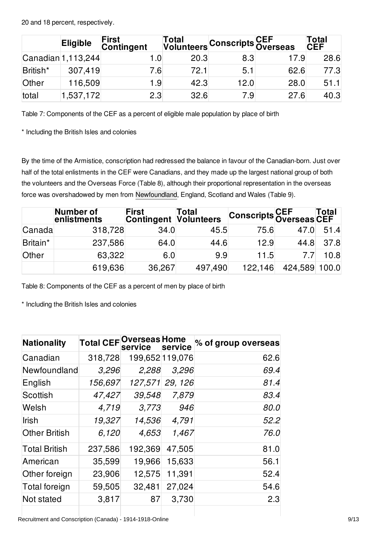20 and 18 percent, respectively.

|          | <b>Eligible</b>               | <b>First</b><br><b>Contingent</b> |      | Total<br>Volunteers Conscripts Overseas |      | Total<br><b>CEF</b> |
|----------|-------------------------------|-----------------------------------|------|-----------------------------------------|------|---------------------|
|          | $\textsf{Canadian}$ 1,113,244 | 1.0                               | 20.3 | 8.3                                     | 17.9 | 28.6                |
| British* | 307,419                       | 7.6                               | 72.1 | 5.1                                     | 62.6 | 77.3                |
| Other    | 116,509                       | 1.9                               | 42.3 | 12.0                                    | 28.0 | 51.1                |
| total    | 1,537,172                     | 2.3                               | 32.6 | 7.9                                     | 27.6 | 40.3                |

Table 7: Components of the CEF as a percent of eligible male population by place of birth

\* Including the British Isles and colonies

By the time of the Armistice, conscription had redressed the balance in favour of the Canadian-born. Just over half of the total enlistments in the CEF were Canadians, and they made up the largest national group of both the volunteers and the Overseas Force (Table 8), although their proportional representation in the overseas force was overshadowed by men from [Newfoundland](/article/newfoundland), England, Scotland and Wales (Table 9).

|          | Number of<br>enlistments | <b>First</b><br>Contingent | Total<br><b>Volunteers</b> | <b>Conscripts CEF Total</b><br>Overseas CEF |                |      |
|----------|--------------------------|----------------------------|----------------------------|---------------------------------------------|----------------|------|
| Canada   | 318,728                  | 34.0                       | 45.5                       | 75.6                                        | $47.0^{\circ}$ | 51.4 |
| Britain* | 237,586                  | 64.0                       | 44.6                       | 12.9                                        | 44.8           | 37.8 |
| Other    | 63,322                   | 6.0                        | 9.9                        | 11.5                                        |                | 10.8 |
|          | 619,636                  | 36,267                     | 497,490                    | 122,146                                     | 424,589 100.0  |      |

Table 8: Components of the CEF as a percent of men by place of birth

\* Including the British Isles and colonies

| <b>Nationality</b>   | <b>Total CEF</b> Overseas Home | service | service         | % of group overseas |
|----------------------|--------------------------------|---------|-----------------|---------------------|
| Canadian             | 318,728                        |         | 199,652 119,076 | 62.6                |
| Newfoundland         | 3,296                          | 2,288   | 3,296           | 69.4                |
| English              | 156,697                        |         | 127,571 29, 126 | 81.4                |
| Scottish             | 47,427                         | 39,548  | 7,879           | 83.4                |
| Welsh                | 4,719                          | 3,773   | 946             | 80.0                |
| Irish                | 19,327                         | 14,536  | 4,791           | 52.2                |
| <b>Other British</b> | 6,120                          | 4,653   | 1,467           | 76.0                |
| <b>Total British</b> | 237,586                        | 192,369 | 47,505          | 81.0                |
| American             | 35,599                         | 19,966  | 15,633          | 56.1                |
| Other foreign        | 23,906                         | 12,575  | 11,391          | 52.4                |
| Total foreign        | 59,505                         | 32,481  | 27,024          | 54.6                |
| Not stated           | 3,817                          | 87      | 3,730           | 2.3                 |

Recruitment and Conscription (Canada) - 1914-1918-Online 9/13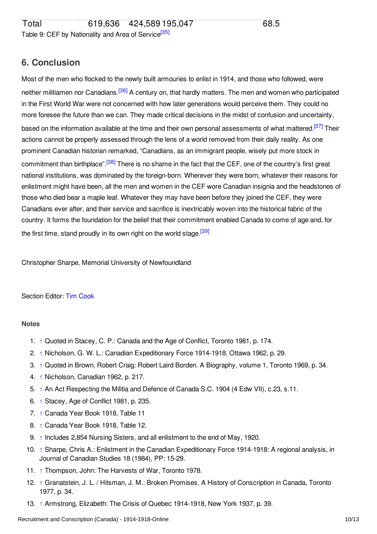## <span id="page-9-15"></span><span id="page-9-0"></span>**6. Conclusion**

<span id="page-9-18"></span><span id="page-9-17"></span><span id="page-9-16"></span>Most of the men who flocked to the newly built armouries to enlist in 1914, and those who followed, were neither militiamen nor Canadians.<sup>[\[36\]](#page-10-22)</sup> A century on, that hardly matters. The men and women who participated in the First World War were not concerned with how later generations would perceive them. They could no more foresee the future than we can. They made critical decisions in the midst of confusion and uncertainty, based on the information available at the time and their own personal assessments of what mattered.<sup>[\[37\]](#page-10-23)</sup> Their actions cannot be properly assessed through the lens of a world removed from their daily reality. As one prominent Canadian historian remarked, "Canadians, as an immigrant people, wisely put more stock in commitment than birthplace".<sup>[\[38\]](#page-10-24)</sup> There is no shame in the fact that the CEF, one of the country's first great national institutions, was dominated by the foreign-born. Wherever they were born, whatever their reasons for enlistment might have been, all the men and women in the CEF wore Canadian insignia and the headstones of those who died bear a maple leaf. Whatever they may have been before they joined the CEF, they were Canadians ever after, and their service and sacrifice is inextricably woven into the historical fabric of the country. It forms the foundation for the belief that their commitment enabled Canada to come of age and, for the first time, stand proudly in its own right on the world stage.<sup>[\[39\]](#page-11-1)</sup>

<span id="page-9-19"></span>Christopher Sharpe, Memorial University of Newfoundland

### Section Editor: Tim [Cook](http://encyclopedia.1914-1918-online.net/contributors/Tim_Cook)

#### <span id="page-9-1"></span>**Notes**

- <span id="page-9-2"></span>1. [↑](#page-1-2) Quoted in Stacey, C. P.: Canada and the Age of Conflict, Toronto 1981, p. 174.
- <span id="page-9-3"></span>2. [↑](#page-1-3) Nicholson, G. W. L.: Canadian Expeditionary Force 1914-1918, Ottawa 1962, p. 29.
- <span id="page-9-4"></span>3. [↑](#page-1-4) Quoted in Brown, Robert Craig: Robert Laird Borden. A Biography, volume 1, Toronto 1969, p. 34.
- <span id="page-9-5"></span>4. [↑](#page-1-5) Nicholson, Canadian 1962, p. 217.
- <span id="page-9-6"></span>5. [↑](#page-1-6) An Act Respecting the Militia and Defence of Canada S.C. 1904 (4 Edw VII), c.23, s.11.
- <span id="page-9-7"></span>6. [↑](#page-1-7) Stacey, Age of Conflict 1981, p. 235.
- <span id="page-9-8"></span>7. [↑](#page-2-0) Canada Year Book 1918, Table 11
- <span id="page-9-9"></span>8. [↑](#page-2-1) Canada Year Book 1918, Table 12.
- <span id="page-9-10"></span>9. [↑](#page-3-0) Includes 2,854 Nursing Sisters, and all enlistment to the end of May, 1920.
- <span id="page-9-11"></span>10. [↑](#page-3-1) Sharpe, Chris A.: Enlistment in the Canadian Expeditionary Force 1914-1918: A regional analysis, in Journal of Canadian Studies 18 (1984), PP: 15-29.
- <span id="page-9-12"></span>11. [↑](#page-4-1) Thompson, John: The Harvests of War, Toronto 1978.
- <span id="page-9-13"></span>12. [↑](#page-4-2) Granatstein, J. L. / Hitsman, J. M.: Broken Promises. A History of Conscription in Canada, Toronto 1977, p. 34.
- <span id="page-9-14"></span>13. [↑](#page-4-3) Armstrong, Elizabeth: The Crisis of Quebec 1914-1918, New York 1937, p. 39.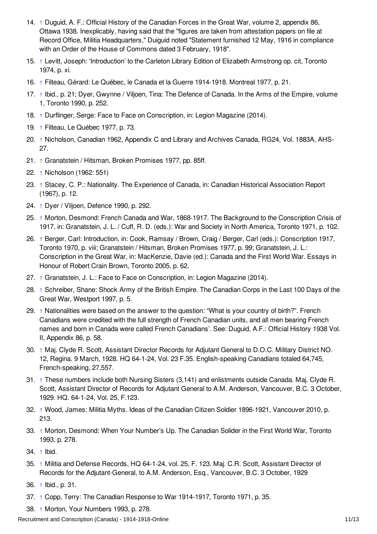- <span id="page-10-0"></span>14. [↑](#page-4-4) Duguid, A. F.: Official History of the Canadian Forces in the Great War, volume 2, appendix 86, Ottawa 1938. Inexplicably, having said that the "figures are taken from attestation papers on file at Record Office, Militia Headquarters," Duiguid noted "Statement furnished 12 May, 1916 in compliance with an Order of the House of Commons dated 3 February, 1918".
- <span id="page-10-1"></span>15. [↑](#page-4-5) Levitt, Joseph: 'Introduction' to the Carleton Library Edition of Elizabeth Armstrong op. cit, Toronto 1974, p. xi.
- <span id="page-10-2"></span>16. [↑](#page-4-6) Filteau, Gérard: Le Québec, le Canada et la Guerre 1914-1918. Montreal 1977, p. 21.
- <span id="page-10-3"></span>17. [↑](#page-4-7) Ibid., p. 21; Dyer, Gwynne / Viljoen, Tina: The Defence of Canada. In the Arms of the Empire, volume 1, Toronto 1990, p. 252.
- <span id="page-10-4"></span>18. [↑](#page-4-8) Durflinger, Serge: Face to Face on Conscription, in: Legion Magazine (2014).
- <span id="page-10-5"></span>19. [↑](#page-4-9) Filteau, Le Québec 1977, p. 73.
- <span id="page-10-6"></span>20. [↑](#page-5-0) Nicholson, Canadian 1962, Appendix C and Library and Archives Canada, RG24, Vol. 1883A, AHS-27.
- <span id="page-10-7"></span>21. [↑](#page-5-1) Granatstein / Hitsman, Broken Promises 1977, pp. 85ff.
- <span id="page-10-8"></span>22. [↑](#page-6-0) Nicholson (1962: 551)
- <span id="page-10-9"></span>23. [↑](#page-6-1) Stacey, C. P.: Nationality. The Experience of Canada, in: Canadian Historical Association Report (1967), p. 12.
- <span id="page-10-10"></span>24. [↑](#page-6-2) Dyer / Viljoen, Defence 1990, p. 292.
- <span id="page-10-11"></span>25. [↑](#page-6-3) Morton, Desmond: French Canada and War, 1868-1917. The Background to the Conscription Crisis of 1917, in: Granatstein, J. L. / Cuff, R. D. (eds.): War and Society in North America, Toronto 1971, p. 102.
- <span id="page-10-12"></span>26. [↑](#page-6-4) Berger, Carl: Introduction, in: Cook, Ramsay / Brown, Craig / Berger, Carl (eds.): Conscription 1917, Toronto 1970, p. viii; Granatstein / Hitsman, Broken Promises 1977, p. 99; Granatstein, J. L.: Conscription in the Great War, in: MacKenzie, Davie (ed.): Canada and the First World War. Essays in Honour of Robert Crain Brown, Toronto 2005, p. 62.
- <span id="page-10-13"></span>27. [↑](#page-6-5) Granatstein, J. L.: Face to Face on Conscription, in: Legion Magazine (2014).
- <span id="page-10-14"></span>28. [↑](#page-6-6) Schreiber, Shane: Shock Army of the British Empire. The Canadian Corps in the Last 100 Days of the Great War, Westport 1997, p. 5.
- <span id="page-10-15"></span>29. [↑](#page-7-1) Nationalities were based on the answer to the question: "What is your country of birth?". French Canadians were credited with the full strength of French Canadian units, and all men bearing French names and born in Canada were called French Canadians'. See: Duguid, A.F.: Official History 1938 Vol. II, Appendix 86, p. 58.
- <span id="page-10-16"></span>30. [↑](#page-7-2) Maj. Clyde R. Scott, Assistant Director Records for Adjutant General to D.O.C. Military District NO. 12, Regina. 9 March, 1928. HQ 64-1-24, Vol. 23 F.35. English-speaking Canadians totaled 64,745, French-speaking, 27,557.
- <span id="page-10-17"></span>31. [↑](#page-7-3) These numbers include both Nursing Sisters (3,141) and enlistments outside Canada. Maj. Clyde R. Scott, Assistant Director of Records for Adjutant General to A.M. Anderson, Vancouver, B.C. 3 October, 1929. HQ. 64-1-24, Vol. 25, F.123.
- <span id="page-10-18"></span>32. [↑](#page-7-4) Wood, James: Militia Myths. Ideas of the Canadian Citizen Soldier 1896-1921, Vancouver 2010, p. 213.
- <span id="page-10-19"></span>33. [↑](#page-7-5) Morton, Desmond: When Your Number's Up. The Canadian Solider in the First World War, Toronto 1993, p. 278.
- <span id="page-10-20"></span>34. [↑](#page-7-6) Ibid.
- <span id="page-10-21"></span>35. [↑](#page-9-15) Militia and Defense Records, HQ 64-1-24, vol. 25, F. 123. Maj. C.R. Scott, Assistant Director of Records for the Adjutant-General, to A.M. Anderson, Esq., Vancouver, B.C. 3 October, 1929
- <span id="page-10-22"></span>36. [↑](#page-9-16) Ibid., p. 31.
- <span id="page-10-23"></span>37. [↑](#page-9-17) Copp, Terry: The Canadian Response to War 1914-1917, Toronto 1971, p. 35.
- <span id="page-10-24"></span>38. [↑](#page-9-18) Morton, Your Numbers 1993, p. 278.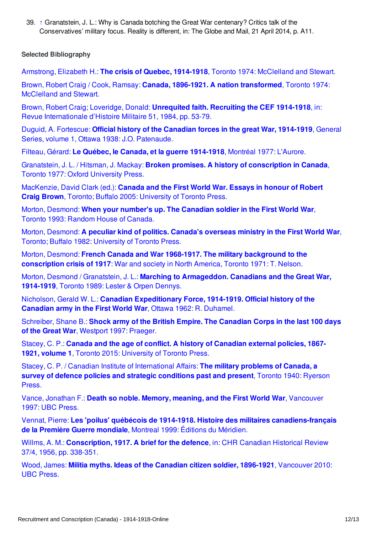<span id="page-11-1"></span>39. [↑](#page-9-19) Granatstein, J. L.: Why is Canada botching the Great War centenary? Critics talk of the Conservatives' military focus. Reality is different, in: The Globe and Mail, 21 April 2014, p. A11.

### <span id="page-11-0"></span>**Selected Bibliography**

Armstrong, Elizabeth H.: **The crisis of Quebec, 1914-1918**, Toronto 1974: [McClelland](http://encyclopedia.1914-1918-online.net/bibliography/HBTBI5T9) and Stewart.

Brown, Robert Craig / Cook, Ramsay: **Canada, 1896-1921. A nation [transformed](http://encyclopedia.1914-1918-online.net/bibliography/XAV39QDK)**, Toronto 1974: McClelland and Stewart.

Brown, Robert Craig; Loveridge, Donald: **Unrequited faith. Recruiting the CEF 1914-1918**, in: Revue [Internationale](http://encyclopedia.1914-1918-online.net/bibliography/EJIGPBP2) d'Histoire Militaire 51, 1984, pp. 53-79.

Duguid, A. Fortescue: **Official history of the Canadian forces in the great War, 1914-1919**, General Series, volume 1, Ottawa 1938: J.O. [Patenaude.](http://encyclopedia.1914-1918-online.net/bibliography/GK2TNHGF)

Filteau, Gérard: **Le Québec, le Canada, et la guerre [1914-1918](http://encyclopedia.1914-1918-online.net/bibliography/A78BNSWV)**, Montréal 1977: L'Aurore.

Granatstein, J. L. / Hitsman, J. Mackay: **Broken promises. A history of [conscription](http://encyclopedia.1914-1918-online.net/bibliography/GR29893N) in Canada**, Toronto 1977: Oxford University Press.

[MacKenzie,](http://encyclopedia.1914-1918-online.net/bibliography/Q8HIE6ZZ) David Clark (ed.): **Canada and the First World War. Essays in honour of Robert Craig Brown**, Toronto; Buffalo 2005: University of Toronto Press.

Morton, [Desmond:](http://encyclopedia.1914-1918-online.net/bibliography/68AWIGGV) **When your number's up. The Canadian soldier in the First World War**, Toronto 1993: Random House of Canada.

Morton, [Desmond:](http://encyclopedia.1914-1918-online.net/bibliography/7NMNCSQI) **A peculiar kind of politics. Canada's overseas ministry in the First World War**, Toronto; Buffalo 1982: University of Toronto Press.

Morton, Desmond: **French Canada and War 1968-1917. The military [background](http://encyclopedia.1914-1918-online.net/bibliography/M2NCRMJA) to the conscription crisis of 1917**: War and society in North America, Toronto 1971: T. Nelson.

Morton, Desmond / Granatstein, J. L.: **Marching to [Armageddon.](http://encyclopedia.1914-1918-online.net/bibliography/5FB5QR2C) Canadians and the Great War, 1914-1919**, Toronto 1989: Lester & Orpen Dennys.

Nicholson, Gerald W. L.: **Canadian [Expeditionary](http://encyclopedia.1914-1918-online.net/bibliography/BRH5TAS8) Force, 1914-1919. Official history of the Canadian army in the First World War**, Ottawa 1962: R. Duhamel.

[Schreiber,](http://encyclopedia.1914-1918-online.net/bibliography/DGZWKF2U) Shane B.: **Shock army of the British Empire. The Canadian Corps in the last 100 days of the Great War**, Westport 1997: Praeger.

Stacey, C. P.: **Canada and the age of conflict. A history of [Canadian](http://encyclopedia.1914-1918-online.net/bibliography/P88SRS6K) external policies, 1867- 1921, volume 1**, Toronto 2015: University of Toronto Press.

Stacey, C. P. / Canadian Institute of [International](http://encyclopedia.1914-1918-online.net/bibliography/IG74MACT) Affairs: **The military problems of Canada, a survey of defence policies and strategic conditions past and present**, Toronto 1940: Ryerson Press.

Vance, Jonathan F.: **Death so noble. Memory, meaning, and the First World War**, [Vancouver](http://encyclopedia.1914-1918-online.net/bibliography/5BVDKN9K) 1997: UBC Press.

Vennat, Pierre: **Les 'poilus' québécois de 1914-1918. Histoire des militaires [canadiens-français](http://encyclopedia.1914-1918-online.net/bibliography/I7674C7S) de la Première Guerre mondiale**, Montreal 1999: Éditions du Méridien.

Willms, A. M.: **[Conscription,](http://encyclopedia.1914-1918-online.net/bibliography/MJNKBTHR) 1917. A brief for the defence**, in: CHR Canadian Historical Review 37/4, 1956, pp. 338-351.

Wood, James: **Militia myths. Ideas of the Canadian citizen soldier, 1896-1921**, [Vancouver](http://encyclopedia.1914-1918-online.net/bibliography/QDQAIGH2) 2010: UBC Press.